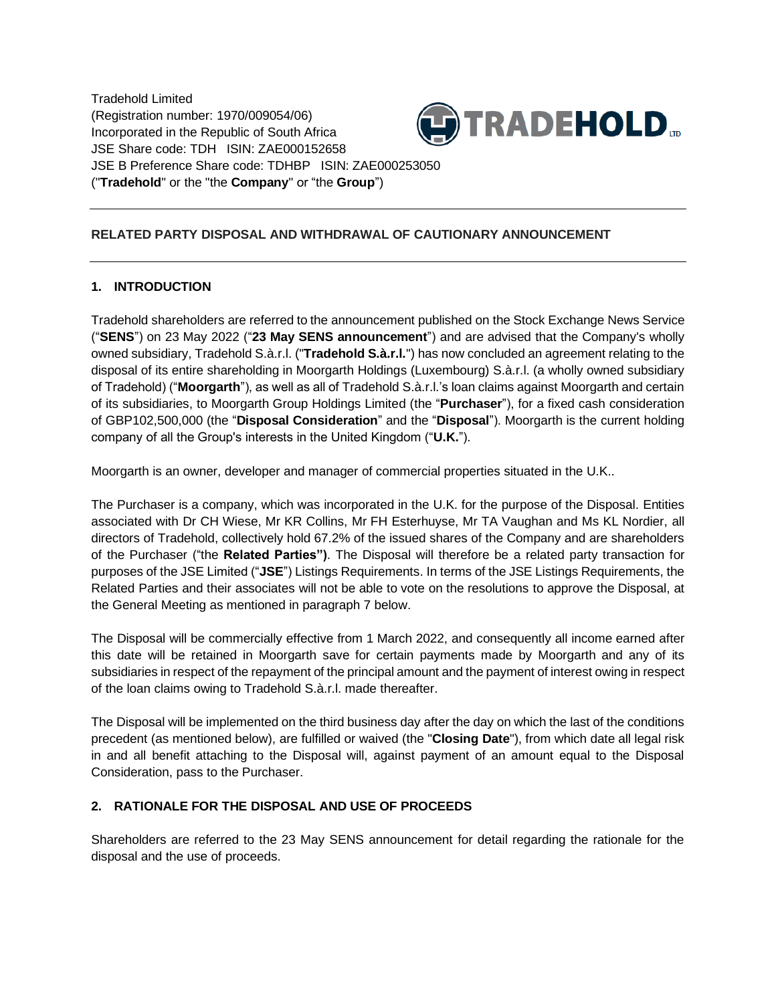Tradehold Limited (Registration number: 1970/009054/06) Incorporated in the Republic of South Africa JSE Share code: TDH ISIN: ZAE000152658 JSE B Preference Share code: TDHBP ISIN: ZAE000253050 ("**Tradehold**" or the "the **Company**" or "the **Group**")



# **RELATED PARTY DISPOSAL AND WITHDRAWAL OF CAUTIONARY ANNOUNCEMENT**

## **1. INTRODUCTION**

Tradehold shareholders are referred to the announcement published on the Stock Exchange News Service ("**SENS**") on 23 May 2022 ("**23 May SENS announcement**") and are advised that the Company's wholly owned subsidiary, Tradehold S.à.r.l. ("**Tradehold S.à.r.l.**") has now concluded an agreement relating to the disposal of its entire shareholding in Moorgarth Holdings (Luxembourg) S.à.r.l. (a wholly owned subsidiary of Tradehold) ("**Moorgarth**"), as well as all of Tradehold S.à.r.l.'s loan claims against Moorgarth and certain of its subsidiaries, to Moorgarth Group Holdings Limited (the "**Purchaser**"), for a fixed cash consideration of GBP102,500,000 (the "**Disposal Consideration**" and the "**Disposal**"). Moorgarth is the current holding company of all the Group's interests in the United Kingdom ("**U.K.**").

Moorgarth is an owner, developer and manager of commercial properties situated in the U.K..

The Purchaser is a company, which was incorporated in the U.K. for the purpose of the Disposal. Entities associated with Dr CH Wiese, Mr KR Collins, Mr FH Esterhuyse, Mr TA Vaughan and Ms KL Nordier, all directors of Tradehold, collectively hold 67.2% of the issued shares of the Company and are shareholders of the Purchaser ("the **Related Parties")**. The Disposal will therefore be a related party transaction for purposes of the JSE Limited ("**JSE**") Listings Requirements. In terms of the JSE Listings Requirements, the Related Parties and their associates will not be able to vote on the resolutions to approve the Disposal, at the General Meeting as mentioned in paragraph 7 below.

The Disposal will be commercially effective from 1 March 2022, and consequently all income earned after this date will be retained in Moorgarth save for certain payments made by Moorgarth and any of its subsidiaries in respect of the repayment of the principal amount and the payment of interest owing in respect of the loan claims owing to Tradehold S.à.r.l. made thereafter.

The Disposal will be implemented on the third business day after the day on which the last of the conditions precedent (as mentioned below), are fulfilled or waived (the "**Closing Date**"), from which date all legal risk in and all benefit attaching to the Disposal will, against payment of an amount equal to the Disposal Consideration, pass to the Purchaser.

## **2. RATIONALE FOR THE DISPOSAL AND USE OF PROCEEDS**

Shareholders are referred to the 23 May SENS announcement for detail regarding the rationale for the disposal and the use of proceeds.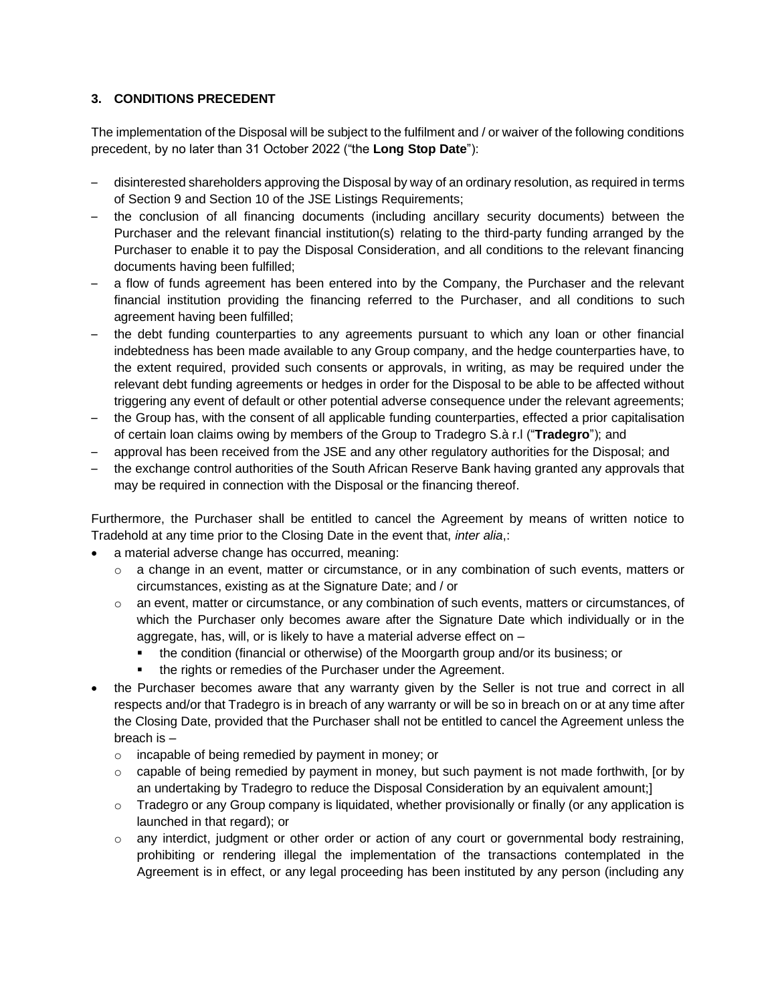## **3. CONDITIONS PRECEDENT**

The implementation of the Disposal will be subject to the fulfilment and / or waiver of the following conditions precedent, by no later than 31 October 2022 ("the **Long Stop Date**"):

- disinterested shareholders approving the Disposal by way of an ordinary resolution, as required in terms of Section 9 and Section 10 of the JSE Listings Requirements;
- the conclusion of all financing documents (including ancillary security documents) between the Purchaser and the relevant financial institution(s) relating to the third-party funding arranged by the Purchaser to enable it to pay the Disposal Consideration, and all conditions to the relevant financing documents having been fulfilled;
- a flow of funds agreement has been entered into by the Company, the Purchaser and the relevant financial institution providing the financing referred to the Purchaser, and all conditions to such agreement having been fulfilled;
- the debt funding counterparties to any agreements pursuant to which any loan or other financial indebtedness has been made available to any Group company, and the hedge counterparties have, to the extent required, provided such consents or approvals, in writing, as may be required under the relevant debt funding agreements or hedges in order for the Disposal to be able to be affected without triggering any event of default or other potential adverse consequence under the relevant agreements;
- the Group has, with the consent of all applicable funding counterparties, effected a prior capitalisation of certain loan claims owing by members of the Group to Tradegro S.à r.l ("**Tradegro**"); and
- approval has been received from the JSE and any other regulatory authorities for the Disposal; and
- the exchange control authorities of the South African Reserve Bank having granted any approvals that may be required in connection with the Disposal or the financing thereof.

Furthermore, the Purchaser shall be entitled to cancel the Agreement by means of written notice to Tradehold at any time prior to the Closing Date in the event that, *inter alia*,:

- a material adverse change has occurred, meaning:
	- $\circ$  a change in an event, matter or circumstance, or in any combination of such events, matters or circumstances, existing as at the Signature Date; and / or
	- $\circ$  an event, matter or circumstance, or any combination of such events, matters or circumstances, of which the Purchaser only becomes aware after the Signature Date which individually or in the aggregate, has, will, or is likely to have a material adverse effect on –
		- the condition (financial or otherwise) of the Moorgarth group and/or its business; or
		- the rights or remedies of the Purchaser under the Agreement.
- the Purchaser becomes aware that any warranty given by the Seller is not true and correct in all respects and/or that Tradegro is in breach of any warranty or will be so in breach on or at any time after the Closing Date, provided that the Purchaser shall not be entitled to cancel the Agreement unless the breach is –
	- o incapable of being remedied by payment in money; or
	- $\circ$  capable of being remedied by payment in money, but such payment is not made forthwith, [or by an undertaking by Tradegro to reduce the Disposal Consideration by an equivalent amount;]
	- $\circ$  Tradegro or any Group company is liquidated, whether provisionally or finally (or any application is launched in that regard); or
	- $\circ$  any interdict, judgment or other order or action of any court or governmental body restraining, prohibiting or rendering illegal the implementation of the transactions contemplated in the Agreement is in effect, or any legal proceeding has been instituted by any person (including any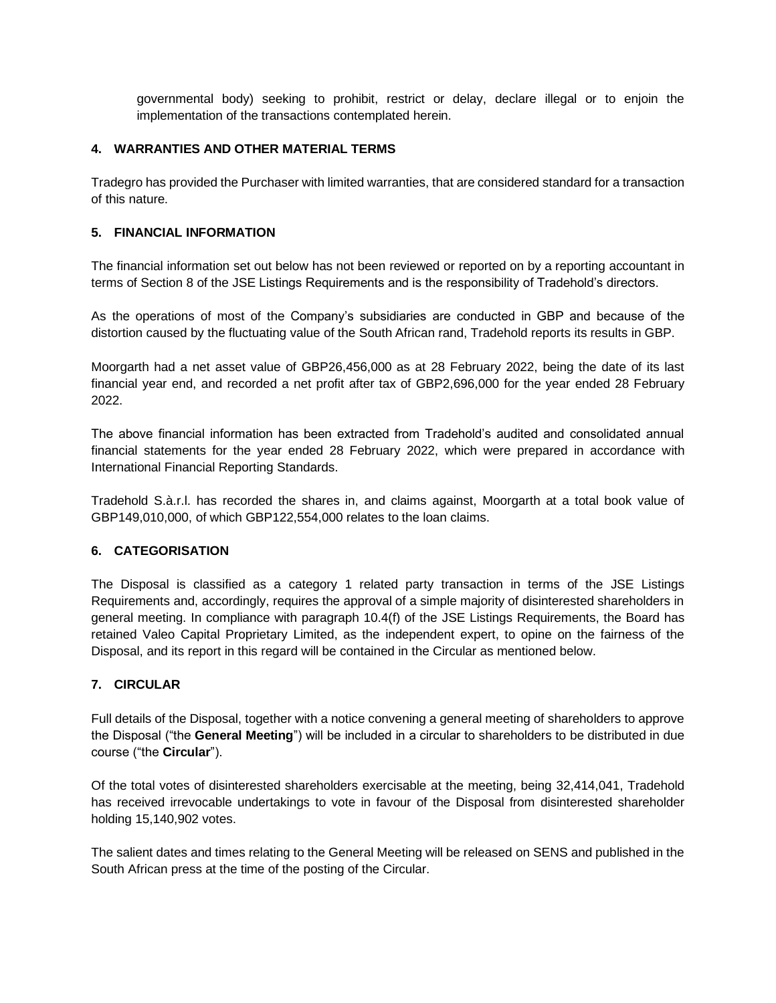governmental body) seeking to prohibit, restrict or delay, declare illegal or to enjoin the implementation of the transactions contemplated herein.

# **4. WARRANTIES AND OTHER MATERIAL TERMS**

Tradegro has provided the Purchaser with limited warranties, that are considered standard for a transaction of this nature.

#### **5. FINANCIAL INFORMATION**

The financial information set out below has not been reviewed or reported on by a reporting accountant in terms of Section 8 of the JSE Listings Requirements and is the responsibility of Tradehold's directors.

As the operations of most of the Company's subsidiaries are conducted in GBP and because of the distortion caused by the fluctuating value of the South African rand, Tradehold reports its results in GBP.

Moorgarth had a net asset value of GBP26,456,000 as at 28 February 2022, being the date of its last financial year end, and recorded a net profit after tax of GBP2,696,000 for the year ended 28 February 2022.

The above financial information has been extracted from Tradehold's audited and consolidated annual financial statements for the year ended 28 February 2022, which were prepared in accordance with International Financial Reporting Standards.

Tradehold S.à.r.l. has recorded the shares in, and claims against, Moorgarth at a total book value of GBP149,010,000, of which GBP122,554,000 relates to the loan claims.

#### **6. CATEGORISATION**

The Disposal is classified as a category 1 related party transaction in terms of the JSE Listings Requirements and, accordingly, requires the approval of a simple majority of disinterested shareholders in general meeting. In compliance with paragraph 10.4(f) of the JSE Listings Requirements, the Board has retained Valeo Capital Proprietary Limited, as the independent expert, to opine on the fairness of the Disposal, and its report in this regard will be contained in the Circular as mentioned below.

## **7. CIRCULAR**

Full details of the Disposal, together with a notice convening a general meeting of shareholders to approve the Disposal ("the **General Meeting**") will be included in a circular to shareholders to be distributed in due course ("the **Circular**").

Of the total votes of disinterested shareholders exercisable at the meeting, being 32,414,041, Tradehold has received irrevocable undertakings to vote in favour of the Disposal from disinterested shareholder holding 15,140,902 votes.

The salient dates and times relating to the General Meeting will be released on SENS and published in the South African press at the time of the posting of the Circular.